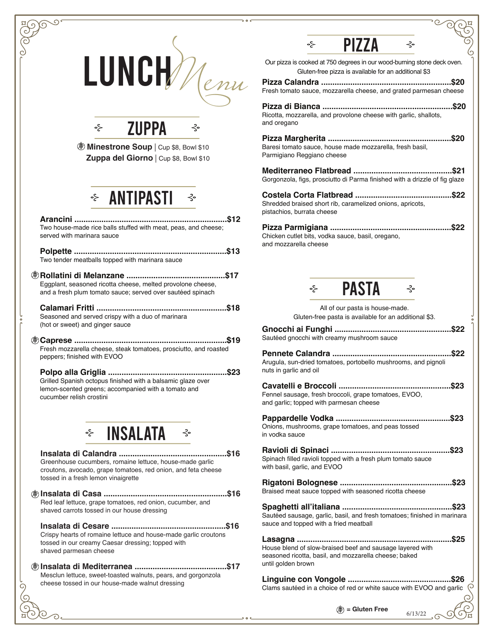|                                                                                                                                                | <b>PIZZA</b><br>⊰ٍ⊶<br>⊰∘                                                                                                       |
|------------------------------------------------------------------------------------------------------------------------------------------------|---------------------------------------------------------------------------------------------------------------------------------|
| LUNCH/                                                                                                                                         | Our pizza is cooked at 750 degrees in our wood-burning stone deck oven.<br>Gluten-free pizza is available for an additional \$3 |
| lemu                                                                                                                                           | Fresh tomato sauce, mozzarella cheese, and grated parmesan cheese                                                               |
|                                                                                                                                                | Ricotta, mozzarella, and provolone cheese with garlic, shallots,                                                                |
| <b>ZUPPA</b><br>⊰∘<br>⊰∘                                                                                                                       | and oregano                                                                                                                     |
| <b>DED</b> Minestrone Soup   Cup \$8, Bowl \$10                                                                                                | Baresi tomato sauce, house made mozzarella, fresh basil,                                                                        |
| Zuppa del Giorno   Cup \$8, Bowl \$10                                                                                                          | Parmigiano Reggiano cheese                                                                                                      |
|                                                                                                                                                | Gorgonzola, figs, prosciutto di Parma finished with a drizzle of fig glaze                                                      |
| <b>EXAMPRISTI</b> ₹                                                                                                                            | Shredded braised short rib, caramelized onions, apricots,<br>pistachios, burrata cheese                                         |
| Two house-made rice balls stuffed with meat, peas, and cheese;<br>served with marinara sauce                                                   | Chicken cutlet bits, vodka sauce, basil, oregano,                                                                               |
| Two tender meatballs topped with marinara sauce                                                                                                | and mozzarella cheese                                                                                                           |
| Eggplant, seasoned ricotta cheese, melted provolone cheese,<br>and a fresh plum tomato sauce; served over sautéed spinach                      | <b>PASTA</b>                                                                                                                    |
|                                                                                                                                                | All of our pasta is house-made.                                                                                                 |
| Seasoned and served crispy with a duo of marinara                                                                                              | Gluten-free pasta is available for an additional \$3.                                                                           |
| (hot or sweet) and ginger sauce                                                                                                                | Sautéed gnocchi with creamy mushroom sauce                                                                                      |
| Fresh mozzarella cheese, steak tomatoes, prosciutto, and roasted<br>peppers; finished with EVOO                                                | Arugula, sun-dried tomatoes, portobello mushrooms, and pignoli                                                                  |
| Grilled Spanish octopus finished with a balsamic glaze over                                                                                    | nuts in garlic and oil                                                                                                          |
| lemon-scented greens; accompanied with a tomato and<br>cucumber relish crostini                                                                | Fennel sausage, fresh broccoli, grape tomatoes, EVOO,                                                                           |
|                                                                                                                                                | and garlic; topped with parmesan cheese                                                                                         |
| $\div$ INSALATA $\div$                                                                                                                         | Onions, mushrooms, grape tomatoes, and peas tossed<br>in vodka sauce                                                            |
|                                                                                                                                                |                                                                                                                                 |
| Greenhouse cucumbers, romaine lettuce, house-made garlic<br>croutons, avocado, grape tomatoes, red onion, and feta cheese                      | Spinach filled ravioli topped with a fresh plum tomato sauce<br>with basil, garlic, and EVOO                                    |
| tossed in a fresh lemon vinaigrette                                                                                                            |                                                                                                                                 |
|                                                                                                                                                | Braised meat sauce topped with seasoned ricotta cheese                                                                          |
| Red leaf lettuce, grape tomatoes, red onion, cucumber, and<br>shaved carrots tossed in our house dressing                                      | Sautéed sausage, garlic, basil, and fresh tomatoes; finished in marinara                                                        |
|                                                                                                                                                | sauce and topped with a fried meatball                                                                                          |
| Crispy hearts of romaine lettuce and house-made garlic croutons<br>tossed in our creamy Caesar dressing; topped with<br>shaved parmesan cheese | House blend of slow-braised beef and sausage layered with<br>seasoned ricotta, basil, and mozzarella cheese; baked              |
|                                                                                                                                                | until golden brown                                                                                                              |
| Mesclun lettuce, sweet-toasted walnuts, pears, and gorgonzola<br>cheese tossed in our house-made walnut dressing<br>G)                         |                                                                                                                                 |
|                                                                                                                                                | Clams sautéed in a choice of red or white sauce with EVOO and garlic $\sqrt{2}$                                                 |
|                                                                                                                                                | $(\hat{\mathscr{F}})$ = Gluten Free<br>6/13/22                                                                                  |
|                                                                                                                                                |                                                                                                                                 |